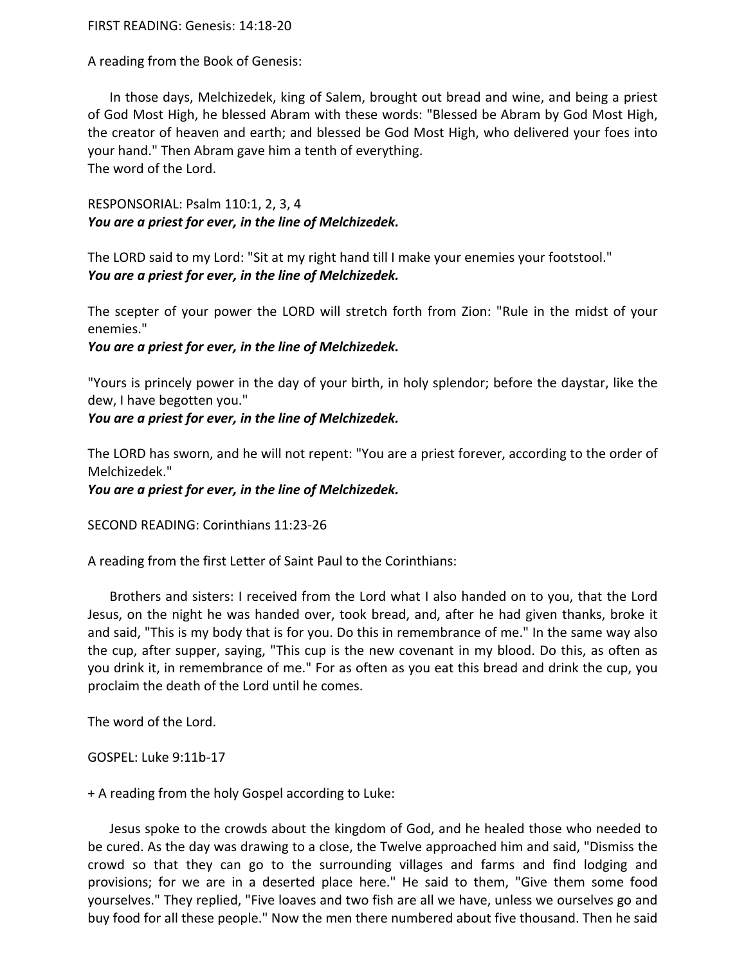A reading from the Book of Genesis:

 In those days, Melchizedek, king of Salem, brought out bread and wine, and being a priest of God Most High, he blessed Abram with these words: "Blessed be Abram by God Most High, the creator of heaven and earth; and blessed be God Most High, who delivered your foes into your hand." Then Abram gave him a tenth of everything. The word of the Lord.

RESPONSORIAL: Psalm 110:1, 2, 3, 4 *You are a priest for ever, in the line of Melchizedek.* 

The LORD said to my Lord: "Sit at my right hand till I make your enemies your footstool." *You are a priest for ever, in the line of Melchizedek.* 

The scepter of your power the LORD will stretch forth from Zion: "Rule in the midst of your enemies."

*You are a priest for ever, in the line of Melchizedek.* 

"Yours is princely power in the day of your birth, in holy splendor; before the daystar, like the dew, I have begotten you."

## *You are a priest for ever, in the line of Melchizedek.*

The LORD has sworn, and he will not repent: "You are a priest forever, according to the order of Melchizedek."

*You are a priest for ever, in the line of Melchizedek.* 

SECOND READING: Corinthians 11:23-26

A reading from the first Letter of Saint Paul to the Corinthians:

 Brothers and sisters: I received from the Lord what I also handed on to you, that the Lord Jesus, on the night he was handed over, took bread, and, after he had given thanks, broke it and said, "This is my body that is for you. Do this in remembrance of me." In the same way also the cup, after supper, saying, "This cup is the new covenant in my blood. Do this, as often as you drink it, in remembrance of me." For as often as you eat this bread and drink the cup, you proclaim the death of the Lord until he comes.

The word of the Lord.

GOSPEL: Luke 9:11b-17

+ A reading from the holy Gospel according to Luke:

 Jesus spoke to the crowds about the kingdom of God, and he healed those who needed to be cured. As the day was drawing to a close, the Twelve approached him and said, "Dismiss the crowd so that they can go to the surrounding villages and farms and find lodging and provisions; for we are in a deserted place here." He said to them, "Give them some food yourselves." They replied, "Five loaves and two fish are all we have, unless we ourselves go and buy food for all these people." Now the men there numbered about five thousand. Then he said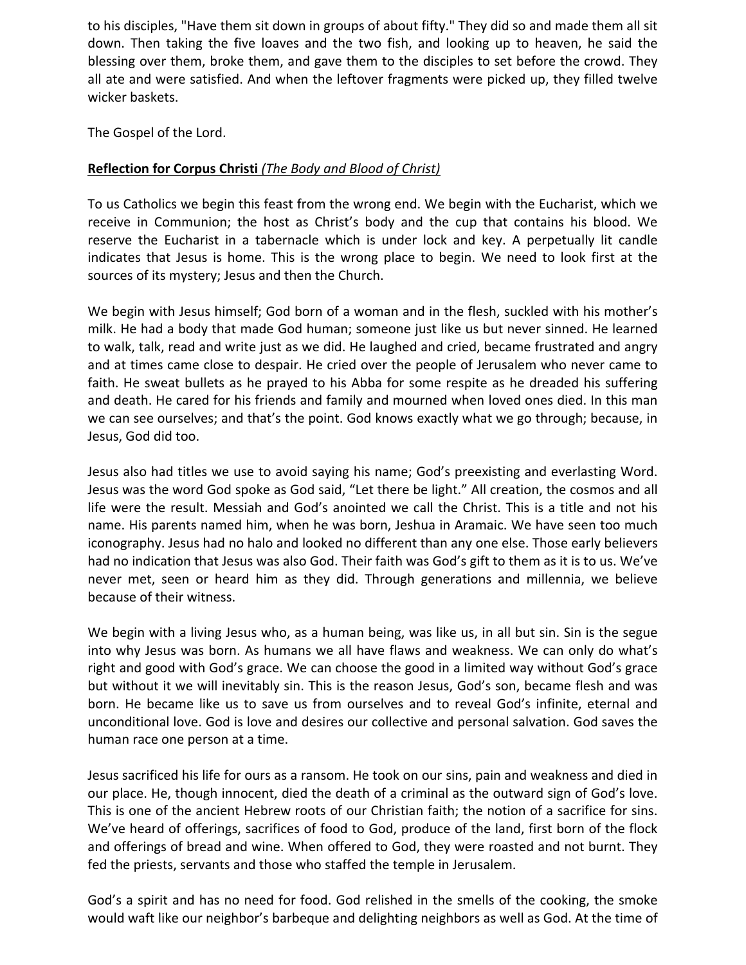to his disciples, "Have them sit down in groups of about fifty." They did so and made them all sit down. Then taking the five loaves and the two fish, and looking up to heaven, he said the blessing over them, broke them, and gave them to the disciples to set before the crowd. They all ate and were satisfied. And when the leftover fragments were picked up, they filled twelve wicker baskets.

The Gospel of the Lord.

## **Reflection for Corpus Christi** *(The Body and Blood of Christ)*

To us Catholics we begin this feast from the wrong end. We begin with the Eucharist, which we receive in Communion; the host as Christ's body and the cup that contains his blood. We reserve the Eucharist in a tabernacle which is under lock and key. A perpetually lit candle indicates that Jesus is home. This is the wrong place to begin. We need to look first at the sources of its mystery; Jesus and then the Church.

We begin with Jesus himself; God born of a woman and in the flesh, suckled with his mother's milk. He had a body that made God human; someone just like us but never sinned. He learned to walk, talk, read and write just as we did. He laughed and cried, became frustrated and angry and at times came close to despair. He cried over the people of Jerusalem who never came to faith. He sweat bullets as he prayed to his Abba for some respite as he dreaded his suffering and death. He cared for his friends and family and mourned when loved ones died. In this man we can see ourselves; and that's the point. God knows exactly what we go through; because, in Jesus, God did too.

Jesus also had titles we use to avoid saying his name; God's preexisting and everlasting Word. Jesus was the word God spoke as God said, "Let there be light." All creation, the cosmos and all life were the result. Messiah and God's anointed we call the Christ. This is a title and not his name. His parents named him, when he was born, Jeshua in Aramaic. We have seen too much iconography. Jesus had no halo and looked no different than any one else. Those early believers had no indication that Jesus was also God. Their faith was God's gift to them as it is to us. We've never met, seen or heard him as they did. Through generations and millennia, we believe because of their witness.

We begin with a living Jesus who, as a human being, was like us, in all but sin. Sin is the segue into why Jesus was born. As humans we all have flaws and weakness. We can only do what's right and good with God's grace. We can choose the good in a limited way without God's grace but without it we will inevitably sin. This is the reason Jesus, God's son, became flesh and was born. He became like us to save us from ourselves and to reveal God's infinite, eternal and unconditional love. God is love and desires our collective and personal salvation. God saves the human race one person at a time.

Jesus sacrificed his life for ours as a ransom. He took on our sins, pain and weakness and died in our place. He, though innocent, died the death of a criminal as the outward sign of God's love. This is one of the ancient Hebrew roots of our Christian faith; the notion of a sacrifice for sins. We've heard of offerings, sacrifices of food to God, produce of the land, first born of the flock and offerings of bread and wine. When offered to God, they were roasted and not burnt. They fed the priests, servants and those who staffed the temple in Jerusalem.

God's a spirit and has no need for food. God relished in the smells of the cooking, the smoke would waft like our neighbor's barbeque and delighting neighbors as well as God. At the time of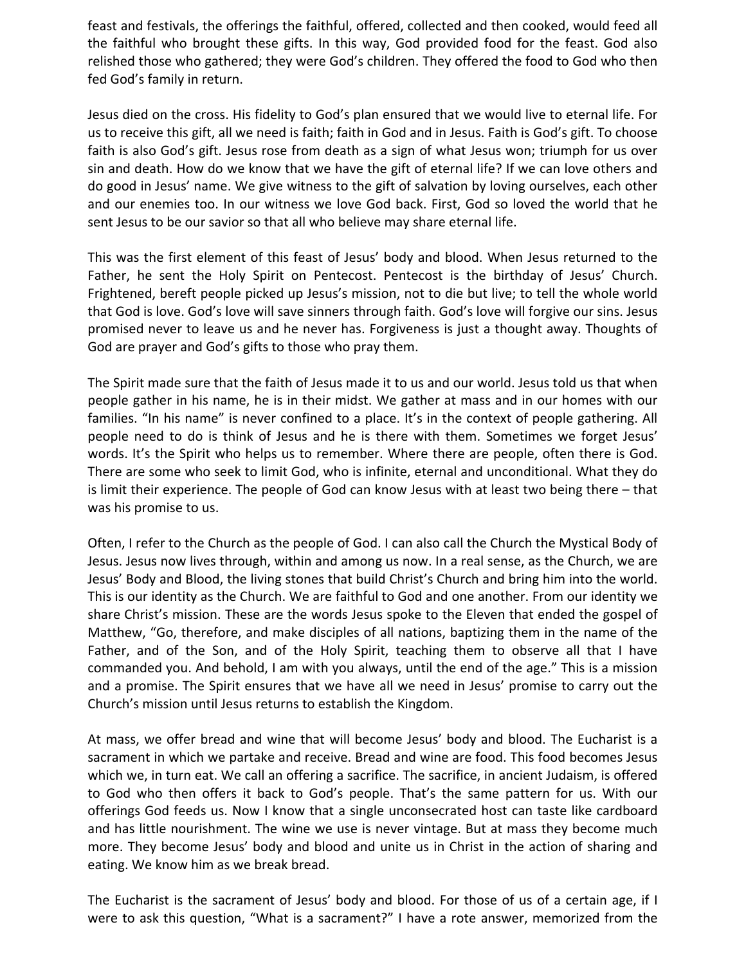feast and festivals, the offerings the faithful, offered, collected and then cooked, would feed all the faithful who brought these gifts. In this way, God provided food for the feast. God also relished those who gathered; they were God's children. They offered the food to God who then fed God's family in return.

Jesus died on the cross. His fidelity to God's plan ensured that we would live to eternal life. For us to receive this gift, all we need is faith; faith in God and in Jesus. Faith is God's gift. To choose faith is also God's gift. Jesus rose from death as a sign of what Jesus won; triumph for us over sin and death. How do we know that we have the gift of eternal life? If we can love others and do good in Jesus' name. We give witness to the gift of salvation by loving ourselves, each other and our enemies too. In our witness we love God back. First, God so loved the world that he sent Jesus to be our savior so that all who believe may share eternal life.

This was the first element of this feast of Jesus' body and blood. When Jesus returned to the Father, he sent the Holy Spirit on Pentecost. Pentecost is the birthday of Jesus' Church. Frightened, bereft people picked up Jesus's mission, not to die but live; to tell the whole world that God is love. God's love will save sinners through faith. God's love will forgive our sins. Jesus promised never to leave us and he never has. Forgiveness is just a thought away. Thoughts of God are prayer and God's gifts to those who pray them.

The Spirit made sure that the faith of Jesus made it to us and our world. Jesus told us that when people gather in his name, he is in their midst. We gather at mass and in our homes with our families. "In his name" is never confined to a place. It's in the context of people gathering. All people need to do is think of Jesus and he is there with them. Sometimes we forget Jesus' words. It's the Spirit who helps us to remember. Where there are people, often there is God. There are some who seek to limit God, who is infinite, eternal and unconditional. What they do is limit their experience. The people of God can know Jesus with at least two being there – that was his promise to us.

Often, I refer to the Church as the people of God. I can also call the Church the Mystical Body of Jesus. Jesus now lives through, within and among us now. In a real sense, as the Church, we are Jesus' Body and Blood, the living stones that build Christ's Church and bring him into the world. This is our identity as the Church. We are faithful to God and one another. From our identity we share Christ's mission. These are the words Jesus spoke to the Eleven that ended the gospel of Matthew, "Go, therefore, and make disciples of all nations, baptizing them in the name of the Father, and of the Son, and of the Holy Spirit, teaching them to observe all that I have commanded you. And behold, I am with you always, until the end of the age." This is a mission and a promise. The Spirit ensures that we have all we need in Jesus' promise to carry out the Church's mission until Jesus returns to establish the Kingdom.

At mass, we offer bread and wine that will become Jesus' body and blood. The Eucharist is a sacrament in which we partake and receive. Bread and wine are food. This food becomes Jesus which we, in turn eat. We call an offering a sacrifice. The sacrifice, in ancient Judaism, is offered to God who then offers it back to God's people. That's the same pattern for us. With our offerings God feeds us. Now I know that a single unconsecrated host can taste like cardboard and has little nourishment. The wine we use is never vintage. But at mass they become much more. They become Jesus' body and blood and unite us in Christ in the action of sharing and eating. We know him as we break bread.

The Eucharist is the sacrament of Jesus' body and blood. For those of us of a certain age, if I were to ask this question, "What is a sacrament?" I have a rote answer, memorized from the